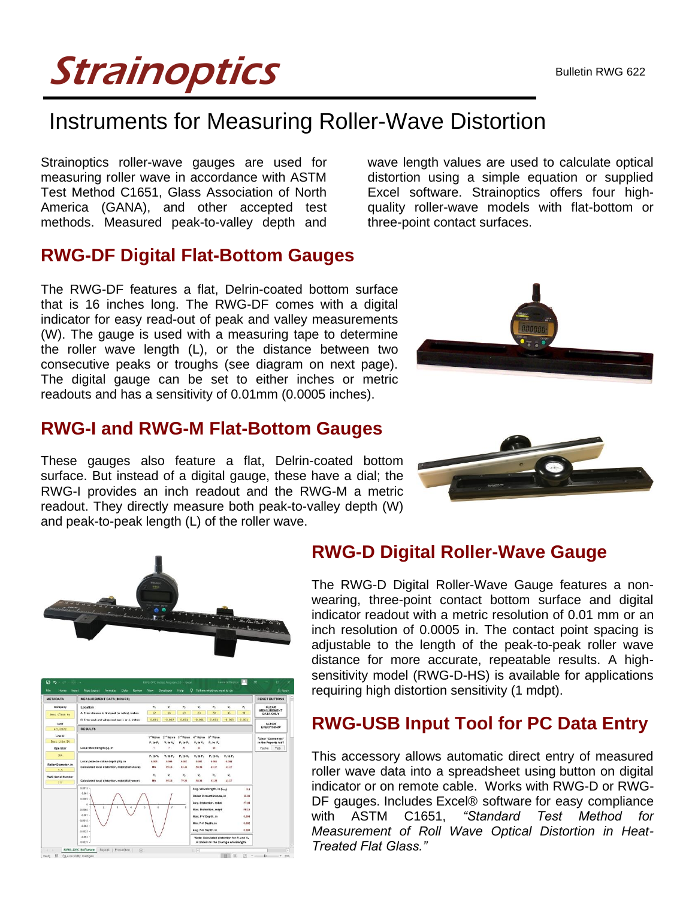# **Strainoptics**

## Instruments for Measuring Roller-Wave Distortion

Strainoptics roller-wave gauges are used for measuring roller wave in accordance with ASTM Test Method C1651, Glass Association of North America (GANA), and other accepted test methods. Measured peak-to-valley depth and

#### **RWG-DF Digital Flat-Bottom Gauges**

The RWG-DF features a flat, Delrin-coated bottom surface that is 16 inches long. The RWG-DF comes with a digital indicator for easy read-out of peak and valley measurements (W). The gauge is used with a measuring tape to determine the roller wave length (L), or the distance between two consecutive peaks or troughs (see diagram on next page). The digital gauge can be set to either inches or metric readouts and has a sensitivity of 0.01mm (0.0005 inches).

#### **RWG-I and RWG-M Flat-Bottom Gauges**

These gauges also feature a flat, Delrin-coated bottom surface. But instead of a digital gauge, these have a dial; the RWG-I provides an inch readout and the RWG-M a metric readout. They directly measure both peak-to-valley depth (W) and peak-to-peak length (L) of the roller wave.

wave length values are used to calculate optical distortion using a simple equation or supplied Excel software. Strainoptics offers four highquality roller-wave models with flat-bottom or three-point contact surfaces.







#### **RWG-D Digital Roller-Wave Gauge**

The RWG-D Digital Roller-Wave Gauge features a nonwearing, three-point contact bottom surface and digital indicator readout with a metric resolution of 0.01 mm or an inch resolution of 0.0005 in. The contact point spacing is adjustable to the length of the peak-to-peak roller wave distance for more accurate, repeatable results. A highsensitivity model (RWG-D-HS) is available for applications requiring high distortion sensitivity (1 mdpt).

#### **RWG-USB Input Tool for PC Data Entry**

This accessory allows automatic direct entry of measured roller wave data into a spreadsheet using button on digital indicator or on remote cable. Works with RWG-D or RWG-DF gauges. Includes Excel® software for easy compliance with ASTM C1651, *"Standard Test Method for Measurement of Roll Wave Optical Distortion in Heat-Treated Flat Glass."*